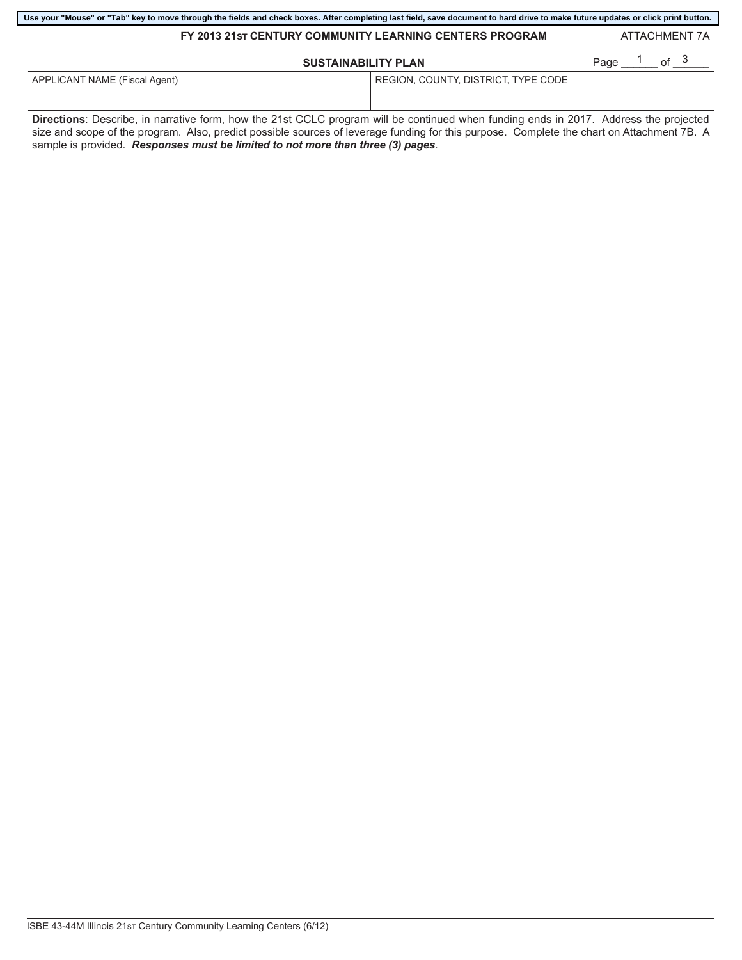| Use your "Mouse" or "Tab" key to move through the fields and check boxes. After completing last field, save document to hard drive to make future updates or click print button. |                                     |                                   |  |  |  |  |  |
|----------------------------------------------------------------------------------------------------------------------------------------------------------------------------------|-------------------------------------|-----------------------------------|--|--|--|--|--|
| FY 2013 21st CENTURY COMMUNITY LEARNING CENTERS PROGRAM                                                                                                                          |                                     | ATTACHMENT 7A                     |  |  |  |  |  |
| <b>SUSTAINABILITY PLAN</b>                                                                                                                                                       |                                     | Page <sup>1</sup> of <sup>3</sup> |  |  |  |  |  |
| APPLICANT NAME (Fiscal Agent)                                                                                                                                                    | REGION, COUNTY, DISTRICT, TYPE CODE |                                   |  |  |  |  |  |

**Directions**: Describe, in narrative form, how the 21st CCLC program will be continued when funding ends in 2017. Address the projected size and scope of the program. Also, predict possible sources of leverage funding for this purpose. Complete the chart on Attachment 7B. A sample is provided. *Responses must be limited to not more than three (3) pages*.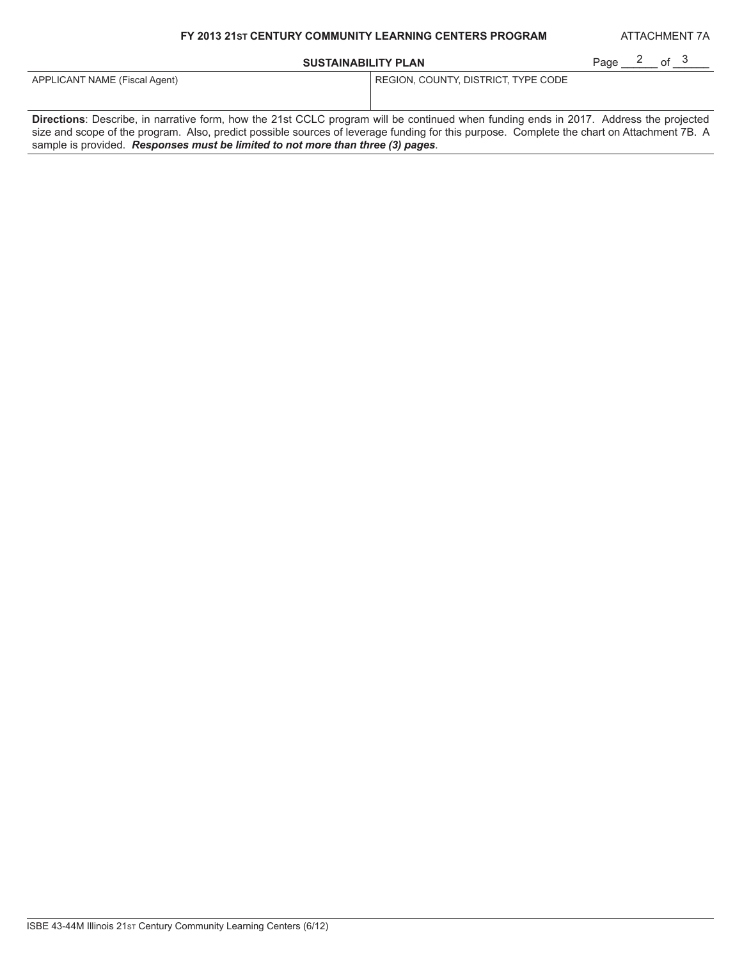## **FY 2013 21ST CENTURY COMMUNITY LEARNING CENTERS PROGRAM**

## **SUSTAINABILITY PLAN**

ATTACHMENT 7A

| <b>SUSTAINABILITY PLAN</b>                                                                                                                   |                                     | Page | იf <sup>კ</sup> |  |
|----------------------------------------------------------------------------------------------------------------------------------------------|-------------------------------------|------|-----------------|--|
| APPLICANT NAME (Fiscal Agent)                                                                                                                | REGION, COUNTY, DISTRICT, TYPE CODE |      |                 |  |
| <b>Directions:</b> Describe, in narrative form, how the 21st CCLC program will be continued when funding ends in 2017. Address the projected |                                     |      |                 |  |

size and scope of the program. Also, predict possible sources of leverage funding for this purpose. Complete the chart on Attachment 7B. A sample is provided. *Responses must be limited to not more than three (3) pages*.